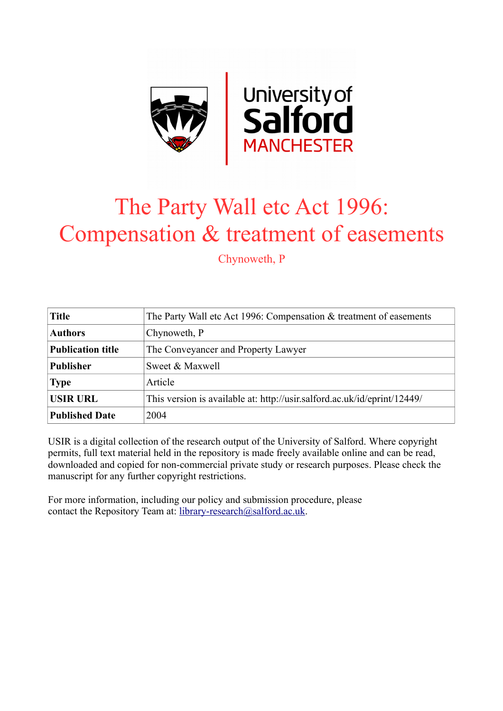

# The Party Wall etc Act 1996: Compensation & treatment of easements

Chynoweth, P

| <b>Title</b>             | The Party Wall etc Act 1996: Compensation $&$ treatment of easements     |
|--------------------------|--------------------------------------------------------------------------|
| <b>Authors</b>           | Chynoweth, P                                                             |
| <b>Publication title</b> | The Conveyancer and Property Lawyer                                      |
| <b>Publisher</b>         | Sweet & Maxwell                                                          |
| <b>Type</b>              | Article                                                                  |
| <b>USIR URL</b>          | This version is available at: http://usir.salford.ac.uk/id/eprint/12449/ |
| <b>Published Date</b>    | 2004                                                                     |

USIR is a digital collection of the research output of the University of Salford. Where copyright permits, full text material held in the repository is made freely available online and can be read, downloaded and copied for non-commercial private study or research purposes. Please check the manuscript for any further copyright restrictions.

For more information, including our policy and submission procedure, please contact the Repository Team at: [library-research@salford.ac.uk.](mailto:library-research@salford.ac.uk)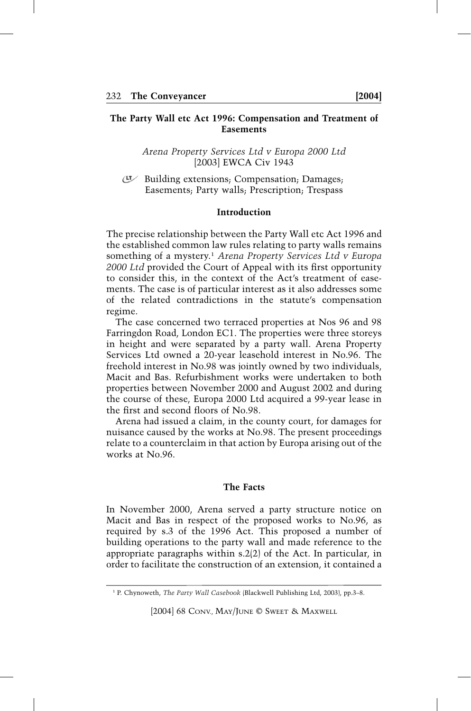# **The Party Wall etc Act 1996: Compensation and Treatment of Easements**

*Arena Property Services Ltd v Europa 2000 Ltd* [2003] EWCA Civ 1943

Building extensions; Compensation; Damages; Easements; Party walls; Prescription; Trespass

## **Introduction**

The precise relationship between the Party Wall etc Act 1996 and the established common law rules relating to party walls remains something of a mystery.1 *Arena Property Services Ltd v Europa 2000 Ltd* provided the Court of Appeal with its first opportunity to consider this, in the context of the Act's treatment of easements. The case is of particular interest as it also addresses some of the related contradictions in the statute's compensation regime.

The case concerned two terraced properties at Nos 96 and 98 Farringdon Road, London EC1. The properties were three storeys in height and were separated by a party wall. Arena Property Services Ltd owned a 20-year leasehold interest in No.96. The freehold interest in No.98 was jointly owned by two individuals, Macit and Bas. Refurbishment works were undertaken to both properties between November 2000 and August 2002 and during the course of these, Europa 2000 Ltd acquired a 99-year lease in the first and second floors of No.98.

Arena had issued a claim, in the county court, for damages for nuisance caused by the works at No.98. The present proceedings relate to a counterclaim in that action by Europa arising out of the works at No.96.

#### **The Facts**

In November 2000, Arena served a party structure notice on Macit and Bas in respect of the proposed works to No.96, as required by s.3 of the 1996 Act. This proposed a number of building operations to the party wall and made reference to the appropriate paragraphs within s.2(2) of the Act. In particular, in order to facilitate the construction of an extension, it contained a

<sup>1</sup> P. Chynoweth, *The Party Wall Casebook* (Blackwell Publishing Ltd, 2003), pp.3–8.

<sup>[2004] 68</sup> CONV., MAY/JUNE © SWEET & MAXWELL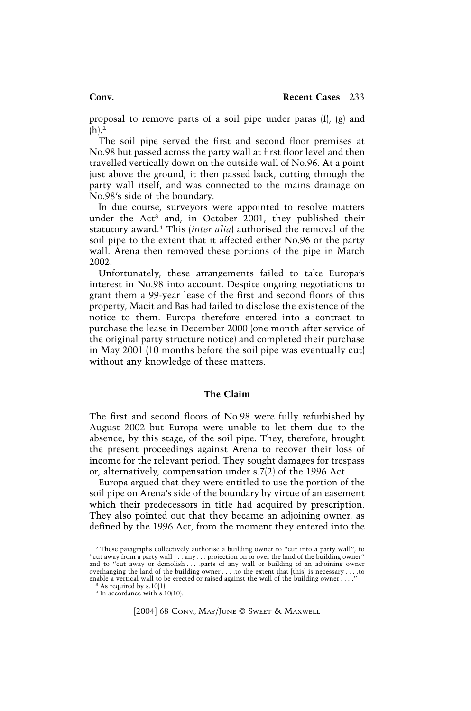proposal to remove parts of a soil pipe under paras (f), (g) and  $(h).<sup>2</sup>$ 

The soil pipe served the first and second floor premises at No.98 but passed across the party wall at first floor level and then travelled vertically down on the outside wall of No.96. At a point just above the ground, it then passed back, cutting through the party wall itself, and was connected to the mains drainage on No.98's side of the boundary.

In due course, surveyors were appointed to resolve matters under the Act<sup>3</sup> and, in October 2001, they published their statutory award.4 This (*inter alia*) authorised the removal of the soil pipe to the extent that it affected either No.96 or the party wall. Arena then removed these portions of the pipe in March 2002.

Unfortunately, these arrangements failed to take Europa's interest in No.98 into account. Despite ongoing negotiations to grant them a 99-year lease of the first and second floors of this property, Macit and Bas had failed to disclose the existence of the notice to them. Europa therefore entered into a contract to purchase the lease in December 2000 (one month after service of the original party structure notice) and completed their purchase in May 2001 (10 months before the soil pipe was eventually cut) without any knowledge of these matters.

# **The Claim**

The first and second floors of No.98 were fully refurbished by August 2002 but Europa were unable to let them due to the absence, by this stage, of the soil pipe. They, therefore, brought the present proceedings against Arena to recover their loss of income for the relevant period. They sought damages for trespass or, alternatively, compensation under s.7(2) of the 1996 Act.

Europa argued that they were entitled to use the portion of the soil pipe on Arena's side of the boundary by virtue of an easement which their predecessors in title had acquired by prescription. They also pointed out that they became an adjoining owner, as defined by the 1996 Act, from the moment they entered into the

<sup>2</sup> These paragraphs collectively authorise a building owner to ''cut into a party wall'', to "cut away from a party wall . . . any . . . projection on or over the land of the building owner" and to "cut away or demolish . . . .parts of any wall or building of an adjoining owner overhanging the land of the building owner . . . .to the extent that [this] is necessary . . . .to enable a vertical wall to be erected or raised against the wall of the building owner . . . .

As required by s.10(1). <sup>4</sup> In accordance with s.10(10).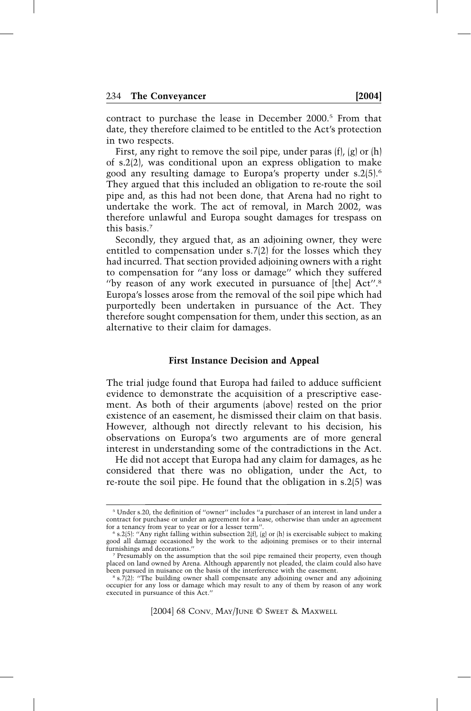contract to purchase the lease in December 2000.5 From that date, they therefore claimed to be entitled to the Act's protection in two respects.

First, any right to remove the soil pipe, under paras (f), (g) or (h) of s.2(2), was conditional upon an express obligation to make good any resulting damage to Europa's property under s.2(5).6 They argued that this included an obligation to re-route the soil pipe and, as this had not been done, that Arena had no right to undertake the work. The act of removal, in March 2002, was therefore unlawful and Europa sought damages for trespass on this basis.7

Secondly, they argued that, as an adjoining owner, they were entitled to compensation under s.7(2) for the losses which they had incurred. That section provided adjoining owners with a right to compensation for ''any loss or damage'' which they suffered "by reason of any work executed in pursuance of [the] Act".<sup>8</sup> Europa's losses arose from the removal of the soil pipe which had purportedly been undertaken in pursuance of the Act. They therefore sought compensation for them, under this section, as an alternative to their claim for damages.

## **First Instance Decision and Appeal**

The trial judge found that Europa had failed to adduce sufficient evidence to demonstrate the acquisition of a prescriptive easement. As both of their arguments (above) rested on the prior existence of an easement, he dismissed their claim on that basis. However, although not directly relevant to his decision, his observations on Europa's two arguments are of more general interest in understanding some of the contradictions in the Act.

He did not accept that Europa had any claim for damages, as he considered that there was no obligation, under the Act, to re-route the soil pipe. He found that the obligation in s.2(5) was

<sup>5</sup> Under s.20, the definition of ''owner'' includes ''a purchaser of an interest in land under a contract for purchase or under an agreement for a lease, otherwise than under an agreement for a tenancy from year to year or for a lesser term"

 $6$  s.2(5): "Any right falling within subsection 2(f), (g) or (h) is exercisable subject to making good all damage occasioned by the work to the adjoining premises or to their internal furnishings and decorations.''

<sup>7</sup> Presumably on the assumption that the soil pipe remained their property, even though placed on land owned by Arena. Although apparently not pleaded, the claim could also have been pursued in nuisance on the basis of the interference with the easement.

 $8 \text{ s.}7(2)$ : "The building owner shall compensate any adjoining owner and any adjoining occupier for any loss or damage which may result to any of them by reason of any work executed in pursuance of this Act.''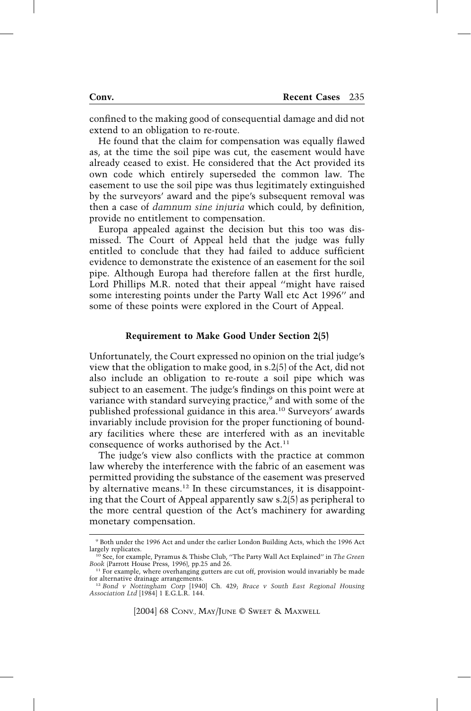confined to the making good of consequential damage and did not extend to an obligation to re-route.

He found that the claim for compensation was equally flawed as, at the time the soil pipe was cut, the easement would have already ceased to exist. He considered that the Act provided its own code which entirely superseded the common law. The easement to use the soil pipe was thus legitimately extinguished by the surveyors' award and the pipe's subsequent removal was then a case of *damnum sine injuria* which could, by definition, provide no entitlement to compensation.

Europa appealed against the decision but this too was dismissed. The Court of Appeal held that the judge was fully entitled to conclude that they had failed to adduce sufficient evidence to demonstrate the existence of an easement for the soil pipe. Although Europa had therefore fallen at the first hurdle, Lord Phillips M.R. noted that their appeal ''might have raised some interesting points under the Party Wall etc Act 1996'' and some of these points were explored in the Court of Appeal.

#### **Requirement to Make Good Under Section 2(5)**

Unfortunately, the Court expressed no opinion on the trial judge's view that the obligation to make good, in s.2(5) of the Act, did not also include an obligation to re-route a soil pipe which was subject to an easement. The judge's findings on this point were at variance with standard surveying practice,<sup>9</sup> and with some of the published professional guidance in this area.10 Surveyors' awards invariably include provision for the proper functioning of boundary facilities where these are interfered with as an inevitable consequence of works authorised by the Act.<sup>11</sup>

The judge's view also conflicts with the practice at common law whereby the interference with the fabric of an easement was permitted providing the substance of the easement was preserved by alternative means.12 In these circumstances, it is disappointing that the Court of Appeal apparently saw s.2(5) as peripheral to the more central question of the Act's machinery for awarding monetary compensation.

<sup>9</sup> Both under the 1996 Act and under the earlier London Building Acts, which the 1996 Act largely replicates.

<sup>10</sup> See, for example, Pyramus & Thisbe Club, ''The Party Wall Act Explained'' in *The Green Book* (Parrott House Press, 1996), pp.25 and 26.

 $11$  For example, where overhanging gutters are cut off, provision would invariably be made for alternative drainage arrangements.

<sup>12</sup> *Bond v Nottingham Corp* [1940] Ch. 429; *Brace v South East Regional Housing Association Ltd* [1984] 1 E.G.L.R. 144.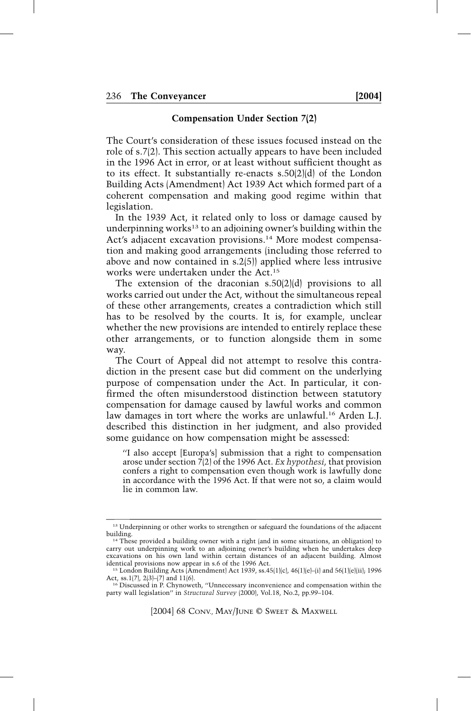## **Compensation Under Section 7(2)**

The Court's consideration of these issues focused instead on the role of s.7(2). This section actually appears to have been included in the 1996 Act in error, or at least without sufficient thought as to its effect. It substantially re-enacts s.50(2)(d) of the London Building Acts (Amendment) Act 1939 Act which formed part of a coherent compensation and making good regime within that legislation.

In the 1939 Act, it related only to loss or damage caused by underpinning works<sup>13</sup> to an adjoining owner's building within the Act's adjacent excavation provisions.<sup>14</sup> More modest compensation and making good arrangements (including those referred to above and now contained in s.2(5)) applied where less intrusive works were undertaken under the Act.15

The extension of the draconian s.50(2)(d) provisions to all works carried out under the Act, without the simultaneous repeal of these other arrangements, creates a contradiction which still has to be resolved by the courts. It is, for example, unclear whether the new provisions are intended to entirely replace these other arrangements, or to function alongside them in some way.

The Court of Appeal did not attempt to resolve this contradiction in the present case but did comment on the underlying purpose of compensation under the Act. In particular, it confirmed the often misunderstood distinction between statutory compensation for damage caused by lawful works and common law damages in tort where the works are unlawful.<sup>16</sup> Arden L.J. described this distinction in her judgment, and also provided some guidance on how compensation might be assessed:

''I also accept [Europa's] submission that a right to compensation arose under section 7(2) of the 1996 Act. *Ex hypothesi*, that provision confers a right to compensation even though work is lawfully done in accordance with the 1996 Act. If that were not so, a claim would lie in common law.

<sup>&</sup>lt;sup>13</sup> Underpinning or other works to strengthen or safeguard the foundations of the adjacent building.

<sup>14</sup> These provided a building owner with a right (and in some situations, an obligation) to carry out underpinning work to an adjoining owner's building when he undertakes deep excavations on his own land within certain distances of an adjacent building. Almost identical provisions now appear in s.6 of the 1996 Act.

<sup>15</sup> London Building Acts (Amendment) Act 1939, ss.45(1)(c), 46(1)(e)–(i) and 56(1)(e)(ii); 1996 Act, ss.1(7), 2(3)–(7) and 11(6).

<sup>16</sup> Discussed in P. Chynoweth, ''Unnecessary inconvenience and compensation within the party wall legislation'' in *Structural Survey* (2000), Vol.18, No.2, pp.99–104.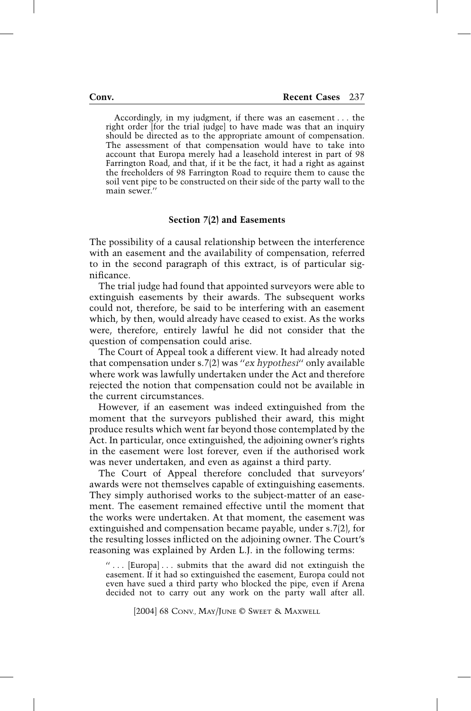Accordingly, in my judgment, if there was an easement . . . the right order [for the trial judge] to have made was that an inquiry should be directed as to the appropriate amount of compensation. The assessment of that compensation would have to take into account that Europa merely had a leasehold interest in part of 98 Farrington Road, and that, if it be the fact, it had a right as against the freeholders of 98 Farrington Road to require them to cause the soil vent pipe to be constructed on their side of the party wall to the main sewer.''

## **Section 7(2) and Easements**

The possibility of a causal relationship between the interference with an easement and the availability of compensation, referred to in the second paragraph of this extract, is of particular significance.

The trial judge had found that appointed surveyors were able to extinguish easements by their awards. The subsequent works could not, therefore, be said to be interfering with an easement which, by then, would already have ceased to exist. As the works were, therefore, entirely lawful he did not consider that the question of compensation could arise.

The Court of Appeal took a different view. It had already noted that compensation under s.7(2) was ''*ex hypothesi*'' only available where work was lawfully undertaken under the Act and therefore rejected the notion that compensation could not be available in the current circumstances.

However, if an easement was indeed extinguished from the moment that the surveyors published their award, this might produce results which went far beyond those contemplated by the Act. In particular, once extinguished, the adjoining owner's rights in the easement were lost forever, even if the authorised work was never undertaken, and even as against a third party.

The Court of Appeal therefore concluded that surveyors' awards were not themselves capable of extinguishing easements. They simply authorised works to the subject-matter of an easement. The easement remained effective until the moment that the works were undertaken. At that moment, the easement was extinguished and compensation became payable, under s.7(2), for the resulting losses inflicted on the adjoining owner. The Court's reasoning was explained by Arden L.J. in the following terms:

'' . . . [Europa] . . . submits that the award did not extinguish the easement. If it had so extinguished the easement, Europa could not even have sued a third party who blocked the pipe, even if Arena decided not to carry out any work on the party wall after all.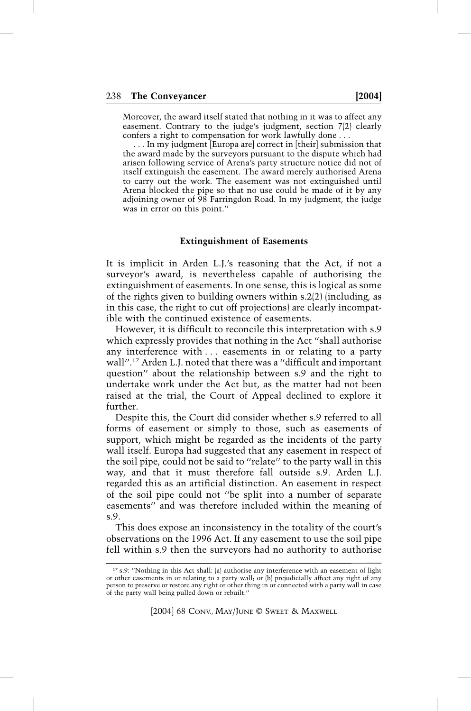Moreover, the award itself stated that nothing in it was to affect any easement. Contrary to the judge's judgment, section 7(2) clearly confers a right to compensation for work lawfully done . . .

. . . In my judgment [Europa are] correct in [their] submission that the award made by the surveyors pursuant to the dispute which had arisen following service of Arena's party structure notice did not of itself extinguish the easement. The award merely authorised Arena to carry out the work. The easement was not extinguished until Arena blocked the pipe so that no use could be made of it by any adjoining owner of 98 Farringdon Road. In my judgment, the judge was in error on this point.''

## **Extinguishment of Easements**

It is implicit in Arden L.J.'s reasoning that the Act, if not a surveyor's award, is nevertheless capable of authorising the extinguishment of easements. In one sense, this is logical as some of the rights given to building owners within s.2(2) (including, as in this case, the right to cut off projections) are clearly incompatible with the continued existence of easements.

However, it is difficult to reconcile this interpretation with s.9 which expressly provides that nothing in the Act ''shall authorise any interference with ... easements in or relating to a party wall''. <sup>17</sup> Arden L.J. noted that there was a ''difficult and important question'' about the relationship between s.9 and the right to undertake work under the Act but, as the matter had not been raised at the trial, the Court of Appeal declined to explore it further.

Despite this, the Court did consider whether s.9 referred to all forms of easement or simply to those, such as easements of support, which might be regarded as the incidents of the party wall itself. Europa had suggested that any easement in respect of the soil pipe, could not be said to ''relate'' to the party wall in this way, and that it must therefore fall outside s.9. Arden L.J. regarded this as an artificial distinction. An easement in respect of the soil pipe could not ''be split into a number of separate easements'' and was therefore included within the meaning of s.9.

This does expose an inconsistency in the totality of the court's observations on the 1996 Act. If any easement to use the soil pipe fell within s.9 then the surveyors had no authority to authorise

<sup>&</sup>lt;sup>17</sup> s.9: "Nothing in this Act shall: (a) authorise any interference with an easement of light or other easements in or relating to a party wall; or (b) prejudicially affect any right of any person to preserve or restore any right or other thing in or connected with a party wall in case of the party wall being pulled down or rebuilt.''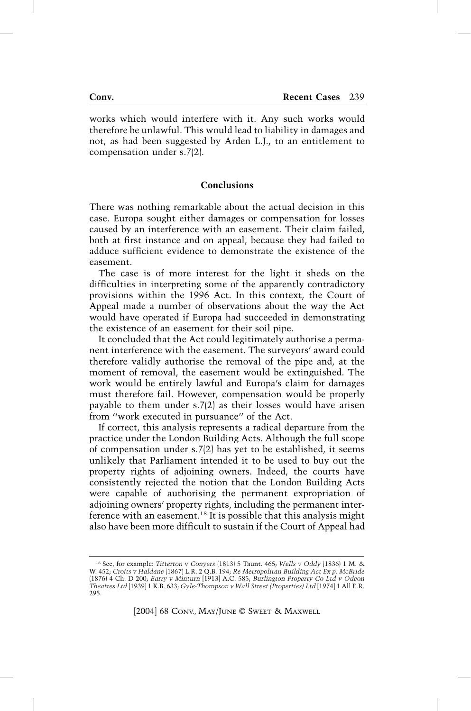works which would interfere with it. Any such works would therefore be unlawful. This would lead to liability in damages and not, as had been suggested by Arden L.J., to an entitlement to compensation under s.7(2).

## **Conclusions**

There was nothing remarkable about the actual decision in this case. Europa sought either damages or compensation for losses caused by an interference with an easement. Their claim failed, both at first instance and on appeal, because they had failed to adduce sufficient evidence to demonstrate the existence of the easement.

The case is of more interest for the light it sheds on the difficulties in interpreting some of the apparently contradictory provisions within the 1996 Act. In this context, the Court of Appeal made a number of observations about the way the Act would have operated if Europa had succeeded in demonstrating the existence of an easement for their soil pipe.

It concluded that the Act could legitimately authorise a permanent interference with the easement. The surveyors' award could therefore validly authorise the removal of the pipe and, at the moment of removal, the easement would be extinguished. The work would be entirely lawful and Europa's claim for damages must therefore fail. However, compensation would be properly payable to them under s.7(2) as their losses would have arisen from ''work executed in pursuance'' of the Act.

If correct, this analysis represents a radical departure from the practice under the London Building Acts. Although the full scope of compensation under s.7(2) has yet to be established, it seems unlikely that Parliament intended it to be used to buy out the property rights of adjoining owners. Indeed, the courts have consistently rejected the notion that the London Building Acts were capable of authorising the permanent expropriation of adjoining owners' property rights, including the permanent interference with an easement.18 It is possible that this analysis might also have been more difficult to sustain if the Court of Appeal had

<sup>18</sup> See, for example: *Titterton v Conyers* (1813) 5 Taunt. 465; *Wells v Oddy* (1836) 1 M. & W. 452; *Crofts v Haldane* (1867) L.R. 2 Q.B. 194; *Re Metropolitan Building Act Ex p. McBride* (1876) 4 Ch. D 200; *Barry v Minturn* [1913] A.C. 585; *Burlington Property Co Ltd v Odeon Theatres Ltd* [1939] 1 K.B. 633; *Gyle-Thompson v Wall Street (Properties) Ltd* [1974] 1 All E.R. 295.